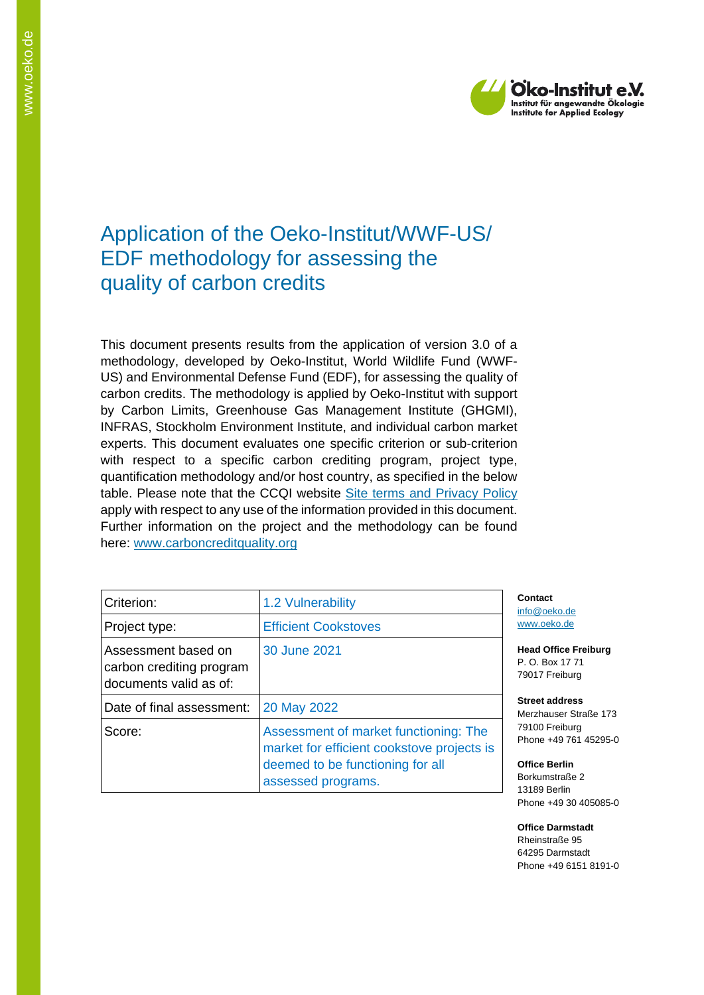

# Application of the Oeko-Institut/WWF-US/ EDF methodology for assessing the quality of carbon credits

This document presents results from the application of version 3.0 of a methodology, developed by Oeko-Institut, World Wildlife Fund (WWF-US) and Environmental Defense Fund (EDF), for assessing the quality of carbon credits. The methodology is applied by Oeko-Institut with support by Carbon Limits, Greenhouse Gas Management Institute (GHGMI), INFRAS, Stockholm Environment Institute, and individual carbon market experts. This document evaluates one specific criterion or sub-criterion with respect to a specific carbon crediting program, project type, quantification methodology and/or host country, as specified in the below table. Please note that the CCQI website [Site terms and Privacy Policy](https://carboncreditquality.org/terms.html) apply with respect to any use of the information provided in this document. Further information on the project and the methodology can be found here: [www.carboncreditquality.org](http://www.carboncreditquality.org/)

| Criterion:                                                                | 1.2 Vulnerability                                                                                                                             |
|---------------------------------------------------------------------------|-----------------------------------------------------------------------------------------------------------------------------------------------|
| Project type:                                                             | <b>Efficient Cookstoves</b>                                                                                                                   |
| Assessment based on<br>carbon crediting program<br>documents valid as of: | 30 June 2021                                                                                                                                  |
| Date of final assessment:                                                 | 20 May 2022                                                                                                                                   |
| Score:                                                                    | Assessment of market functioning: The<br>market for efficient cookstove projects is<br>deemed to be functioning for all<br>assessed programs. |

**Contact** [info@oeko.de](mailto:info@oeko.de) [www.oeko.de](http://www.oeko.de/)

**Head Office Freiburg** P. O. Box 17 71 79017 Freiburg

**Street address** Merzhauser Straße 173 79100 Freiburg Phone +49 761 45295-0

**Office Berlin** Borkumstraße 2 13189 Berlin Phone +49 30 405085-0

**Office Darmstadt** Rheinstraße 95 64295 Darmstadt Phone +49 6151 8191-0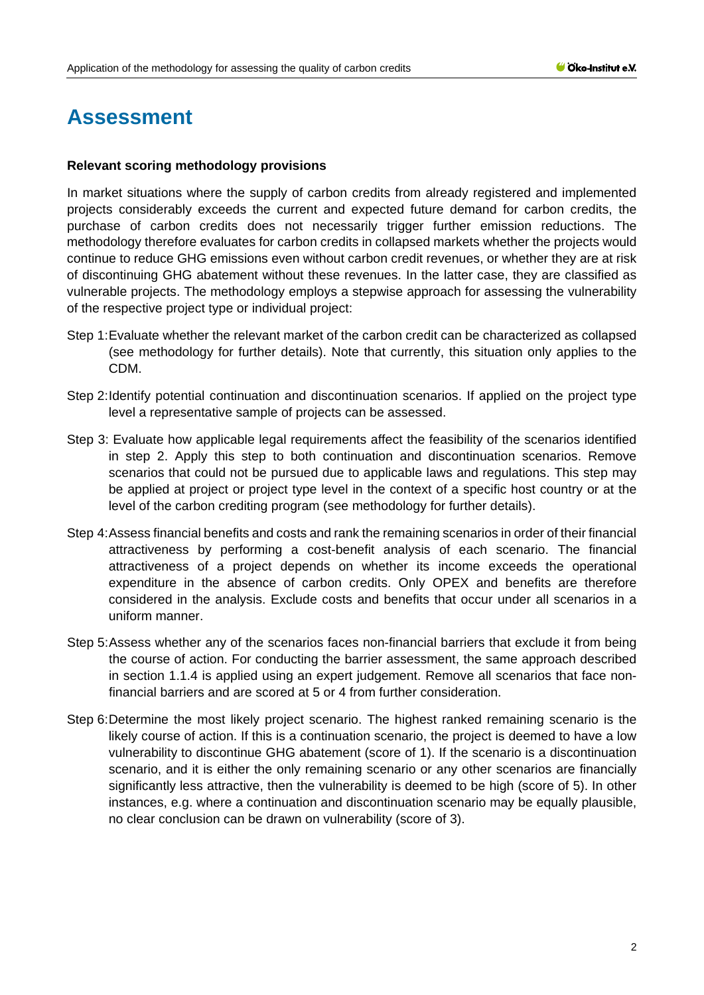# **Assessment**

## **Relevant scoring methodology provisions**

In market situations where the supply of carbon credits from already registered and implemented projects considerably exceeds the current and expected future demand for carbon credits, the purchase of carbon credits does not necessarily trigger further emission reductions. The methodology therefore evaluates for carbon credits in collapsed markets whether the projects would continue to reduce GHG emissions even without carbon credit revenues, or whether they are at risk of discontinuing GHG abatement without these revenues. In the latter case, they are classified as vulnerable projects. The methodology employs a stepwise approach for assessing the vulnerability of the respective project type or individual project:

- Step 1:Evaluate whether the relevant market of the carbon credit can be characterized as collapsed (see methodology for further details). Note that currently, this situation only applies to the CDM.
- Step 2:Identify potential continuation and discontinuation scenarios. If applied on the project type level a representative sample of projects can be assessed.
- Step 3: Evaluate how applicable legal requirements affect the feasibility of the scenarios identified in step 2. Apply this step to both continuation and discontinuation scenarios. Remove scenarios that could not be pursued due to applicable laws and regulations. This step may be applied at project or project type level in the context of a specific host country or at the level of the carbon crediting program (see methodology for further details).
- Step 4:Assess financial benefits and costs and rank the remaining scenarios in order of their financial attractiveness by performing a cost-benefit analysis of each scenario. The financial attractiveness of a project depends on whether its income exceeds the operational expenditure in the absence of carbon credits. Only OPEX and benefits are therefore considered in the analysis. Exclude costs and benefits that occur under all scenarios in a uniform manner.
- Step 5:Assess whether any of the scenarios faces non-financial barriers that exclude it from being the course of action. For conducting the barrier assessment, the same approach described in section 1.1.4 is applied using an expert judgement. Remove all scenarios that face nonfinancial barriers and are scored at 5 or 4 from further consideration.
- Step 6:Determine the most likely project scenario. The highest ranked remaining scenario is the likely course of action. If this is a continuation scenario, the project is deemed to have a low vulnerability to discontinue GHG abatement (score of 1). If the scenario is a discontinuation scenario, and it is either the only remaining scenario or any other scenarios are financially significantly less attractive, then the vulnerability is deemed to be high (score of 5). In other instances, e.g. where a continuation and discontinuation scenario may be equally plausible, no clear conclusion can be drawn on vulnerability (score of 3).